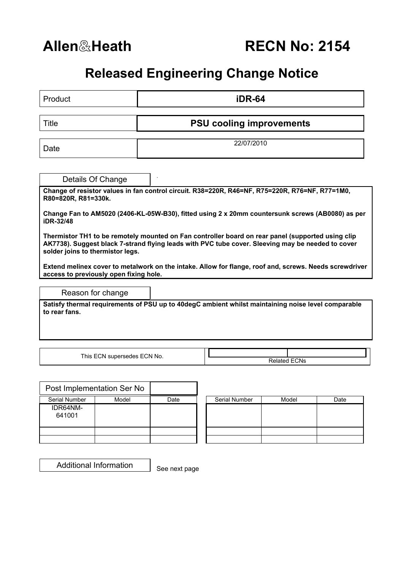## **Released Engineering Change Notice**

| Product                                                                                                                                                                                                                                    | iDR-64                                                                                                 |  |  |  |  |  |  |  |
|--------------------------------------------------------------------------------------------------------------------------------------------------------------------------------------------------------------------------------------------|--------------------------------------------------------------------------------------------------------|--|--|--|--|--|--|--|
| Title                                                                                                                                                                                                                                      | <b>PSU cooling improvements</b>                                                                        |  |  |  |  |  |  |  |
| Date                                                                                                                                                                                                                                       | 22/07/2010                                                                                             |  |  |  |  |  |  |  |
| Details Of Change                                                                                                                                                                                                                          |                                                                                                        |  |  |  |  |  |  |  |
| R80=820R, R81=330k.                                                                                                                                                                                                                        | Change of resistor values in fan control circuit. R38=220R, R46=NF, R75=220R, R76=NF, R77=1M0,         |  |  |  |  |  |  |  |
| iDR-32/48                                                                                                                                                                                                                                  | Change Fan to AM5020 (2406-KL-05W-B30), fitted using 2 x 20mm countersunk screws (AB0080) as per       |  |  |  |  |  |  |  |
| Thermistor TH1 to be remotely mounted on Fan controller board on rear panel (supported using clip<br>AK7738). Suggest black 7-strand flying leads with PVC tube cover. Sleeving may be needed to cover<br>solder joins to thermistor legs. |                                                                                                        |  |  |  |  |  |  |  |
| access to previously open fixing hole.                                                                                                                                                                                                     | Extend melinex cover to metalwork on the intake. Allow for flange, roof and, screws. Needs screwdriver |  |  |  |  |  |  |  |
| Reason for change                                                                                                                                                                                                                          |                                                                                                        |  |  |  |  |  |  |  |
| to rear fans.                                                                                                                                                                                                                              | Satisfy thermal requirements of PSU up to 40degC ambient whilst maintaining noise level comparable     |  |  |  |  |  |  |  |
|                                                                                                                                                                                                                                            |                                                                                                        |  |  |  |  |  |  |  |
| This ECN supersedes ECN No.                                                                                                                                                                                                                | <b>Related ECNs</b>                                                                                    |  |  |  |  |  |  |  |
|                                                                                                                                                                                                                                            |                                                                                                        |  |  |  |  |  |  |  |

| Post Implementation Ser No |       |      |               |       |      |
|----------------------------|-------|------|---------------|-------|------|
| Serial Number              | Model | Date | Serial Number | Model | Date |
| IDR64NM-<br>641001         |       |      |               |       |      |
|                            |       |      |               |       |      |
|                            |       |      |               |       |      |

| Serial Number | Model | Date |
|---------------|-------|------|
|               |       |      |
|               |       |      |
|               |       |      |
|               |       |      |
|               |       |      |
|               |       |      |
|               |       |      |

Additional Information

See next page